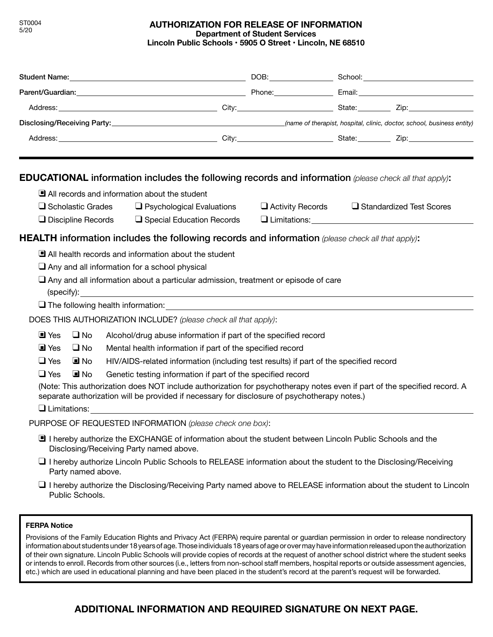# **AUTHORIZATION FOR RELEASE OF INFORMATION Department of Student Services Lincoln Public Schools • 5905 O Street • Lincoln, NE 68510**

|                           |                                                                          |                                                                                       |                                                                                                                                                    |  |                                                                                                                                                                                                                                |  | Address: Zip: Zip: Zip: 2014 City: City: 2014 City: 2014 State: Zip: 210: 210: 210: 210: 210: 210: 2                     |  |
|---------------------------|--------------------------------------------------------------------------|---------------------------------------------------------------------------------------|----------------------------------------------------------------------------------------------------------------------------------------------------|--|--------------------------------------------------------------------------------------------------------------------------------------------------------------------------------------------------------------------------------|--|--------------------------------------------------------------------------------------------------------------------------|--|
|                           |                                                                          |                                                                                       |                                                                                                                                                    |  |                                                                                                                                                                                                                                |  |                                                                                                                          |  |
|                           |                                                                          |                                                                                       |                                                                                                                                                    |  |                                                                                                                                                                                                                                |  |                                                                                                                          |  |
|                           |                                                                          |                                                                                       | EDUCATIONAL information includes the following records and information (please check all that apply):                                              |  |                                                                                                                                                                                                                                |  |                                                                                                                          |  |
|                           |                                                                          |                                                                                       | All records and information about the student                                                                                                      |  |                                                                                                                                                                                                                                |  |                                                                                                                          |  |
| $\Box$ Scholastic Grades  |                                                                          | $\Box$ Psychological Evaluations                                                      |                                                                                                                                                    |  | $\Box$ Activity Records $\Box$ Standardized Test Scores                                                                                                                                                                        |  |                                                                                                                          |  |
| $\Box$ Discipline Records |                                                                          | $\Box$ Special Education Records                                                      |                                                                                                                                                    |  | U Limitations: University of Limitations and Limitations of Limitations and Limitations of Limitations and Limitations of Limitations and Limitations and Limitations and Limitations and Limitations and Limitations and Limi |  |                                                                                                                          |  |
|                           |                                                                          |                                                                                       | <b>HEALTH</b> information includes the following records and information (please check all that apply):                                            |  |                                                                                                                                                                                                                                |  |                                                                                                                          |  |
|                           |                                                                          |                                                                                       | All health records and information about the student                                                                                               |  |                                                                                                                                                                                                                                |  |                                                                                                                          |  |
|                           |                                                                          |                                                                                       | $\Box$ Any and all information for a school physical                                                                                               |  |                                                                                                                                                                                                                                |  |                                                                                                                          |  |
|                           |                                                                          |                                                                                       | $\Box$ Any and all information about a particular admission, treatment or episode of care                                                          |  |                                                                                                                                                                                                                                |  |                                                                                                                          |  |
|                           |                                                                          |                                                                                       |                                                                                                                                                    |  |                                                                                                                                                                                                                                |  |                                                                                                                          |  |
|                           |                                                                          |                                                                                       | The following health information:<br><u>The following health information:</u>                                                                      |  |                                                                                                                                                                                                                                |  |                                                                                                                          |  |
|                           |                                                                          |                                                                                       | DOES THIS AUTHORIZATION INCLUDE? (please check all that apply):                                                                                    |  |                                                                                                                                                                                                                                |  |                                                                                                                          |  |
| $\blacksquare$ Yes        | $\Box$ No                                                                |                                                                                       | Alcohol/drug abuse information if part of the specified record                                                                                     |  |                                                                                                                                                                                                                                |  |                                                                                                                          |  |
| $\blacksquare$ Yes        | $\square$ No                                                             | Mental health information if part of the specified record                             |                                                                                                                                                    |  |                                                                                                                                                                                                                                |  |                                                                                                                          |  |
| $\Box$ Yes                | $\blacksquare$ No                                                        | HIV/AIDS-related information (including test results) if part of the specified record |                                                                                                                                                    |  |                                                                                                                                                                                                                                |  |                                                                                                                          |  |
| $\Box$ Yes                | $\Box$ No<br>Genetic testing information if part of the specified record |                                                                                       |                                                                                                                                                    |  |                                                                                                                                                                                                                                |  |                                                                                                                          |  |
|                           |                                                                          |                                                                                       | (Note: This authorization does NOT include authorization for psychotherapy notes even if part of the specified record. A                           |  |                                                                                                                                                                                                                                |  |                                                                                                                          |  |
|                           |                                                                          |                                                                                       | separate authorization will be provided if necessary for disclosure of psychotherapy notes.)                                                       |  |                                                                                                                                                                                                                                |  |                                                                                                                          |  |
|                           |                                                                          |                                                                                       | Q Limitations: <u>_________________________________</u>                                                                                            |  |                                                                                                                                                                                                                                |  |                                                                                                                          |  |
|                           |                                                                          |                                                                                       | PURPOSE OF REQUESTED INFORMATION (please check one box):                                                                                           |  |                                                                                                                                                                                                                                |  |                                                                                                                          |  |
|                           |                                                                          |                                                                                       | I hereby authorize the EXCHANGE of information about the student between Lincoln Public Schools and the<br>Disclosing/Receiving Party named above. |  |                                                                                                                                                                                                                                |  |                                                                                                                          |  |
|                           | Party named above.                                                       |                                                                                       | $\Box$ I hereby authorize Lincoln Public Schools to RELEASE information about the student to the Disclosing/Receiving                              |  |                                                                                                                                                                                                                                |  |                                                                                                                          |  |
|                           | Public Schools.                                                          |                                                                                       |                                                                                                                                                    |  |                                                                                                                                                                                                                                |  | $\Box$ I hereby authorize the Disclosing/Receiving Party named above to RELEASE information about the student to Lincoln |  |

## **FERPA Notice**

Provisions of the Family Education Rights and Privacy Act (FERPA) require parental or guardian permission in order to release nondirectory information about students under 18 years of age. Those individuals 18 years of age or over may have information released upon the authorization of their own signature. Lincoln Public Schools will provide copies of records at the request of another school district where the student seeks or intends to enroll. Records from other sources (i.e., letters from non-school staff members, hospital reports or outside assessment agencies, etc.) which are used in educational planning and have been placed in the student's record at the parent's request will be forwarded.